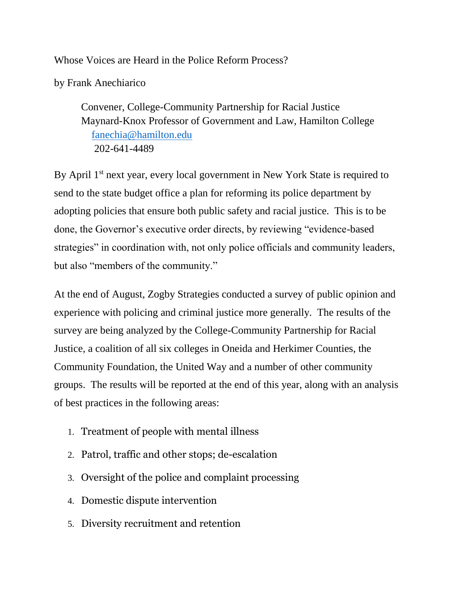Whose Voices are Heard in the Police Reform Process?

by Frank Anechiarico

Convener, College-Community Partnership for Racial Justice Maynard-Knox Professor of Government and Law, Hamilton College [fanechia@hamilton.edu](mailto:fanechia@hamilton.edu) 202-641-4489

By April 1<sup>st</sup> next year, every local government in New York State is required to send to the state budget office a plan for reforming its police department by adopting policies that ensure both public safety and racial justice. This is to be done, the Governor's executive order directs, by reviewing "evidence-based strategies" in coordination with, not only police officials and community leaders, but also "members of the community."

At the end of August, Zogby Strategies conducted a survey of public opinion and experience with policing and criminal justice more generally. The results of the survey are being analyzed by the College-Community Partnership for Racial Justice, a coalition of all six colleges in Oneida and Herkimer Counties, the Community Foundation, the United Way and a number of other community groups. The results will be reported at the end of this year, along with an analysis of best practices in the following areas:

- 1. Treatment of people with mental illness
- 2. Patrol, traffic and other stops; de-escalation
- 3. Oversight of the police and complaint processing
- 4. Domestic dispute intervention
- 5. Diversity recruitment and retention